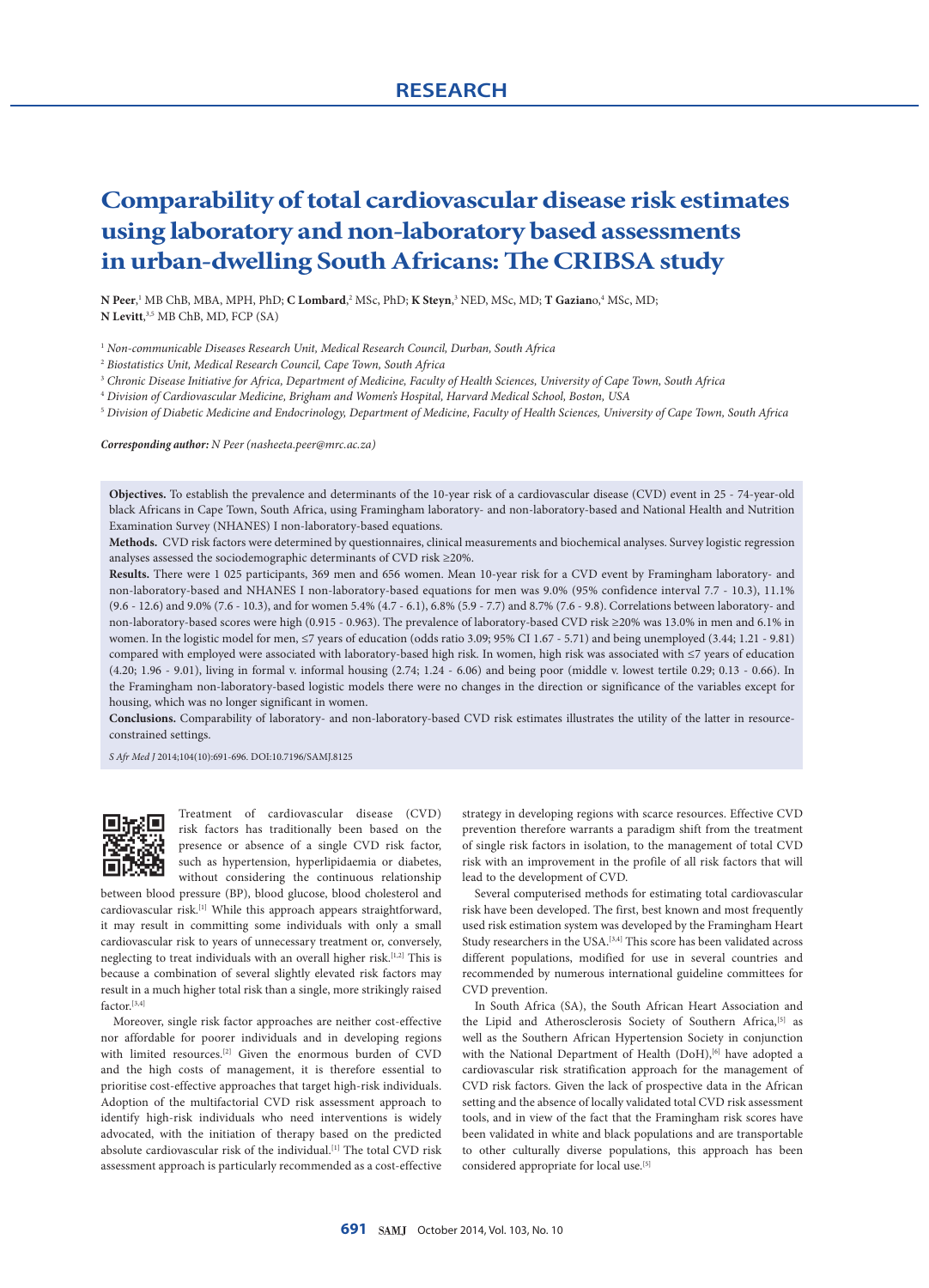# **Comparability of total cardiovascular disease risk estimates using laboratory and non-laboratory based assessments in urban-dwelling South Africans: The CRIBSA study**

**N Peer**, 1 MB ChB, MBA, MPH, PhD; **C Lombard**, 2 MSc, PhD; **K Steyn**, 3 NED, MSc, MD; **T Gazian**o,4 MSc, MD; **N Levitt**, 3,5 MB ChB, MD, FCP (SA)

- <sup>1</sup> *Non-communicable Diseases Research Unit, Medical Research Council, Durban, South Africa*
- <sup>2</sup> *Biostatistics Unit, Medical Research Council, Cape Town, South Africa*
- <sup>3</sup> *Chronic Disease Initiative for Africa, Department of Medicine, Faculty of Health Sciences, University of Cape Town, South Africa*

<sup>4</sup> *Division of Cardiovascular Medicine, Brigham and Women's Hospital, Harvard Medical School, Boston, USA*

<sup>5</sup> *Division of Diabetic Medicine and Endocrinology, Department of Medicine, Faculty of Health Sciences, University of Cape Town, South Africa*

*Corresponding author: N Peer (nasheeta.peer@mrc.ac.za)*

**Objectives.** To establish the prevalence and determinants of the 10-year risk of a cardiovascular disease (CVD) event in 25 - 74-year-old black Africans in Cape Town, South Africa, using Framingham laboratory- and non-laboratory-based and National Health and Nutrition Examination Survey (NHANES) I non-laboratory-based equations.

**Methods.** CVD risk factors were determined by questionnaires, clinical measurements and biochemical analyses. Survey logistic regression analyses assessed the sociodemographic determinants of CVD risk ≥20%.

**Results.** There were 1 025 participants, 369 men and 656 women. Mean 10-year risk for a CVD event by Framingham laboratory- and non-laboratory-based and NHANES I non-laboratory-based equations for men was 9.0% (95% confidence interval 7.7 - 10.3), 11.1% (9.6 - 12.6) and 9.0% (7.6 - 10.3), and for women 5.4% (4.7 - 6.1), 6.8% (5.9 - 7.7) and 8.7% (7.6 - 9.8). Correlations between laboratory- and non-laboratory-based scores were high (0.915 - 0.963). The prevalence of laboratory-based CVD risk ≥20% was 13.0% in men and 6.1% in women. In the logistic model for men, ≤7 years of education (odds ratio 3.09; 95% CI 1.67 - 5.71) and being unemployed (3.44; 1.21 - 9.81) compared with employed were associated with laboratory-based high risk. In women, high risk was associated with ≤7 years of education (4.20; 1.96 - 9.01), living in formal v. informal housing (2.74; 1.24 - 6.06) and being poor (middle v. lowest tertile 0.29; 0.13 - 0.66). In the Framingham non-laboratory-based logistic models there were no changes in the direction or significance of the variables except for housing, which was no longer significant in women.

**Conclusions.** Comparability of laboratory- and non-laboratory-based CVD risk estimates illustrates the utility of the latter in resourceconstrained settings.

*S Afr Med J* 2014;104(10):691-696. DOI:10.7196/SAMJ.8125



Treatment of cardiovascular disease (CVD) risk factors has traditionally been based on the presence or absence of a single CVD risk factor, such as hypertension, hyperlipidaemia or diabetes, without considering the continuous relationship

between blood pressure (BP), blood glucose, blood cholesterol and cardiovascular risk.<sup>[1]</sup> While this approach appears straightforward, it may result in committing some individuals with only a small cardiovascular risk to years of unnecessary treatment or, conversely, neglecting to treat individuals with an overall higher risk.<sup>[1,2]</sup> This is because a combination of several slightly elevated risk factors may result in a much higher total risk than a single, more strikingly raised factor.[3,4]

Moreover, single risk factor approaches are neither cost-effective nor affordable for poorer individuals and in developing regions with limited resources.[2] Given the enormous burden of CVD and the high costs of management, it is therefore essential to prioritise cost-effective approaches that target high-risk individuals. Adoption of the multifactorial CVD risk assessment approach to identify high-risk individuals who need interventions is widely advocated, with the initiation of therapy based on the predicted absolute cardiovascular risk of the individual.<sup>[1]</sup> The total CVD risk assessment approach is particularly recommended as a cost-effective

strategy in developing regions with scarce resources. Effective CVD prevention therefore warrants a paradigm shift from the treatment of single risk factors in isolation, to the management of total CVD risk with an improvement in the profile of all risk factors that will lead to the development of CVD.

Several computerised methods for estimating total cardiovascular risk have been developed. The first, best known and most frequently used risk estimation system was developed by the Framingham Heart Study researchers in the USA.  $^{[3,4]}$  This score has been validated across different populations, modified for use in several countries and recommended by numerous international guideline committees for CVD prevention.

In South Africa (SA), the South African Heart Association and the Lipid and Atherosclerosis Society of Southern Africa,<sup>[5]</sup> as well as the Southern African Hypertension Society in conjunction with the National Department of Health (DoH),<sup>[6]</sup> have adopted a cardiovascular risk stratification approach for the management of CVD risk factors. Given the lack of prospective data in the African setting and the absence of locally validated total CVD risk assessment tools, and in view of the fact that the Framingham risk scores have been validated in white and black populations and are transportable to other culturally diverse populations, this approach has been considered appropriate for local use.[5]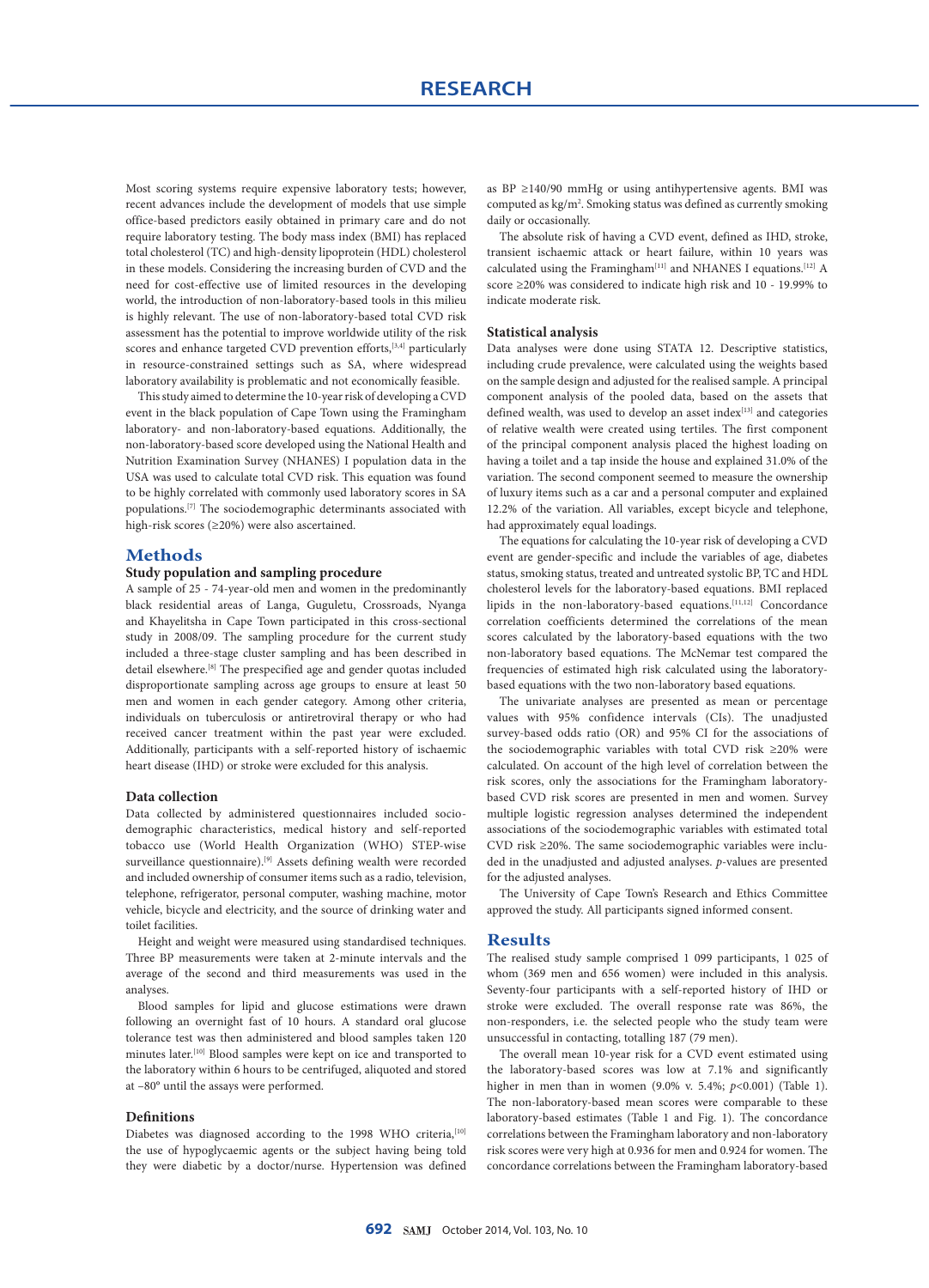Most scoring systems require expensive laboratory tests; however, recent advances include the development of models that use simple office-based predictors easily obtained in primary care and do not require laboratory testing. The body mass index (BMI) has replaced total cholesterol (TC) and high-density lipoprotein (HDL) cholesterol in these models. Considering the increasing burden of CVD and the need for cost-effective use of limited resources in the developing world, the introduction of non-laboratory-based tools in this milieu is highly relevant. The use of non-laboratory-based total CVD risk assessment has the potential to improve worldwide utility of the risk scores and enhance targeted CVD prevention efforts,<sup>[3,4]</sup> particularly in resource-constrained settings such as SA, where widespread laboratory availability is problematic and not economically feasible.

This study aimed to determine the 10-year risk of developing a CVD event in the black population of Cape Town using the Framingham laboratory- and non-laboratory-based equations. Additionally, the non-laboratory-based score developed using the National Health and Nutrition Examination Survey (NHANES) I population data in the USA was used to calculate total CVD risk. This equation was found to be highly correlated with commonly used laboratory scores in SA populations.[7] The sociodemographic determinants associated with high-risk scores (≥20%) were also ascertained.

## **Methods**

# **Study population and sampling procedure**

A sample of 25 - 74-year-old men and women in the predominantly black residential areas of Langa, Guguletu, Crossroads, Nyanga and Khayelitsha in Cape Town participated in this cross-sectional study in 2008/09. The sampling procedure for the current study included a three-stage cluster sampling and has been described in detail elsewhere.[8] The prespecified age and gender quotas included disproportionate sampling across age groups to ensure at least 50 men and women in each gender category. Among other criteria, individuals on tuberculosis or antiretroviral therapy or who had received cancer treatment within the past year were excluded. Additionally, participants with a self-reported history of ischaemic heart disease (IHD) or stroke were excluded for this analysis.

#### **Data collection**

Data collected by administered questionnaires included sociodemographic characteristics, medical history and self-reported tobacco use (World Health Organization (WHO) STEP-wise surveillance questionnaire).<sup>[9]</sup> Assets defining wealth were recorded and included ownership of consumer items such as a radio, television, telephone, refrigerator, personal computer, washing machine, motor vehicle, bicycle and electricity, and the source of drinking water and toilet facilities.

Height and weight were measured using standardised techniques. Three BP measurements were taken at 2-minute intervals and the average of the second and third measurements was used in the analyses.

Blood samples for lipid and glucose estimations were drawn following an overnight fast of 10 hours. A standard oral glucose tolerance test was then administered and blood samples taken 120 minutes later.<sup>[10]</sup> Blood samples were kept on ice and transported to the laboratory within 6 hours to be centrifuged, aliquoted and stored at –80° until the assays were performed.

## **Definitions**

Diabetes was diagnosed according to the 1998 WHO criteria, [10] the use of hypoglycaemic agents or the subject having being told they were diabetic by a doctor/nurse. Hypertension was defined as BP  $\geq$ 140/90 mmHg or using antihypertensive agents. BMI was computed as kg/m<sup>2</sup>. Smoking status was defined as currently smoking daily or occasionally.

The absolute risk of having a CVD event, defined as IHD, stroke, transient ischaemic attack or heart failure, within 10 years was calculated using the Framingham  $\rm{^{[11]}}$  and NHANES I equations.  $\rm{^{[12]}}$  A score ≥20% was considered to indicate high risk and 10 - 19.99% to indicate moderate risk.

#### **Statistical analysis**

Data analyses were done using STATA 12. Descriptive statistics, including crude prevalence, were calculated using the weights based on the sample design and adjusted for the realised sample. A principal component analysis of the pooled data, based on the assets that defined wealth, was used to develop an asset index<sup>[13]</sup> and categories of relative wealth were created using tertiles. The first component of the principal component analysis placed the highest loading on having a toilet and a tap inside the house and explained 31.0% of the variation. The second component seemed to measure the ownership of luxury items such as a car and a personal computer and explained 12.2% of the variation. All variables, except bicycle and telephone, had approximately equal loadings.

The equations for calculating the 10-year risk of developing a CVD event are gender-specific and include the variables of age, diabetes status, smoking status, treated and untreated systolic BP, TC and HDL cholesterol levels for the laboratory-based equations. BMI replaced lipids in the non-laboratory-based equations.<sup>[11,12]</sup> Concordance correlation coefficients determined the correlations of the mean scores calculated by the laboratory-based equations with the two non-laboratory based equations. The McNemar test compared the frequencies of estimated high risk calculated using the laboratorybased equations with the two non-laboratory based equations.

The univariate analyses are presented as mean or percentage values with 95% confidence intervals (CIs). The unadjusted survey-based odds ratio (OR) and 95% CI for the associations of the sociodemographic variables with total CVD risk ≥20% were calculated. On account of the high level of correlation between the risk scores, only the associations for the Framingham laboratorybased CVD risk scores are presented in men and women. Survey multiple logistic regression analyses determined the independent associations of the sociodemographic variables with estimated total CVD risk ≥20%. The same sociodemographic variables were included in the unadjusted and adjusted analyses. *p*-values are presented for the adjusted analyses.

The University of Cape Town's Research and Ethics Committee approved the study. All participants signed informed consent.

#### **Results**

The realised study sample comprised 1 099 participants, 1 025 of whom (369 men and 656 women) were included in this analysis. Seventy-four participants with a self-reported history of IHD or stroke were excluded. The overall response rate was 86%, the non-responders, i.e. the selected people who the study team were unsuccessful in contacting, totalling 187 (79 men).

The overall mean 10-year risk for a CVD event estimated using the laboratory-based scores was low at 7.1% and significantly higher in men than in women (9.0% v. 5.4%; *p*<0.001) (Table 1). The non-laboratory-based mean scores were comparable to these laboratory-based estimates (Table 1 and Fig. 1). The concordance correlations between the Framingham laboratory and non-laboratory risk scores were very high at 0.936 for men and 0.924 for women. The concordance correlations between the Framingham laboratory-based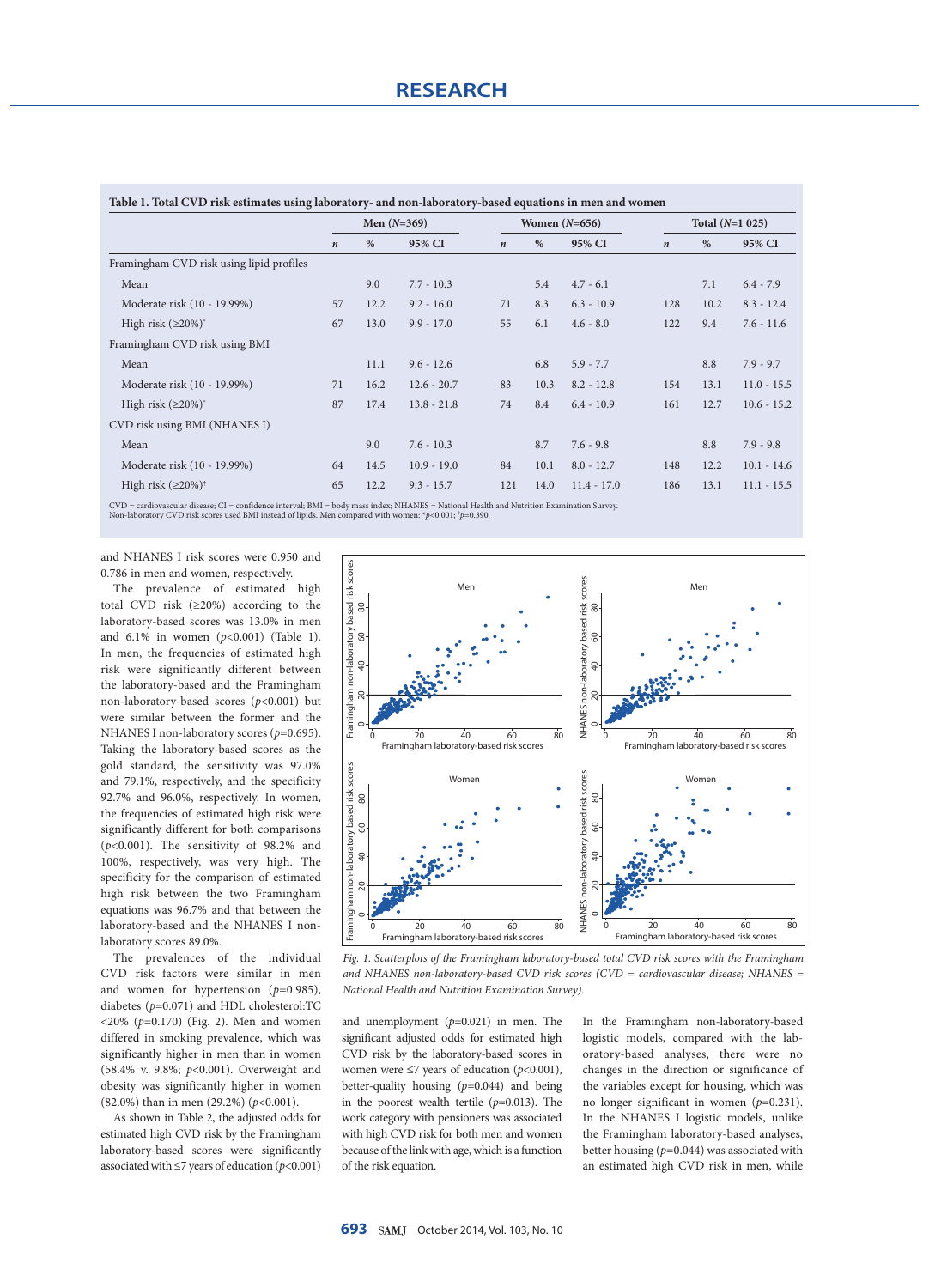|                                          |                  | Men $(N=369)$ |               |                  |      | Women $(N=656)$ | Total $(N=1 025)$ |      |               |
|------------------------------------------|------------------|---------------|---------------|------------------|------|-----------------|-------------------|------|---------------|
|                                          | $\boldsymbol{n}$ | $\%$          | 95% CI        | $\boldsymbol{n}$ | $\%$ | 95% CI          | $\boldsymbol{n}$  | $\%$ | 95% CI        |
| Framingham CVD risk using lipid profiles |                  |               |               |                  |      |                 |                   |      |               |
| Mean                                     |                  | 9.0           | $7.7 - 10.3$  |                  | 5.4  | $4.7 - 6.1$     |                   | 7.1  | $6.4 - 7.9$   |
| Moderate risk (10 - 19.99%)              | 57               | 12.2          | $9.2 - 16.0$  | 71               | 8.3  | $6.3 - 10.9$    | 128               | 10.2 | $8.3 - 12.4$  |
| High risk $(\geq 20\%)$                  | 67               | 13.0          | $9.9 - 17.0$  | 55               | 6.1  | $4.6 - 8.0$     | 122               | 9.4  | $7.6 - 11.6$  |
| Framingham CVD risk using BMI            |                  |               |               |                  |      |                 |                   |      |               |
| Mean                                     |                  | 11.1          | $9.6 - 12.6$  |                  | 6.8  | $5.9 - 7.7$     |                   | 8.8  | $7.9 - 9.7$   |
| Moderate risk (10 - 19.99%)              | 71               | 16.2          | $12.6 - 20.7$ | 83               | 10.3 | $8.2 - 12.8$    | 154               | 13.1 | $11.0 - 15.5$ |
| High risk $(\geq 20\%)^*$                | 87               | 17.4          | $13.8 - 21.8$ | 74               | 8.4  | $6.4 - 10.9$    | 161               | 12.7 | $10.6 - 15.2$ |
| CVD risk using BMI (NHANES I)            |                  |               |               |                  |      |                 |                   |      |               |
| Mean                                     |                  | 9.0           | $7.6 - 10.3$  |                  | 8.7  | $7.6 - 9.8$     |                   | 8.8  | $7.9 - 9.8$   |
| Moderate risk (10 - 19.99%)              | 64               | 14.5          | $10.9 - 19.0$ | 84               | 10.1 | $8.0 - 12.7$    | 148               | 12.2 | $10.1 - 14.6$ |
| High risk $(\geq 20\%)^{\dagger}$        | 65               | 12.2          | $9.3 - 15.7$  | 121              | 14.0 | $11.4 - 17.0$   | 186               | 13.1 | $11.1 - 15.5$ |

CVD = cardiovascular disease; CI = confidence interval; BMI = body mass index; NHANES = National Health and Nutrition Examination Survey.<br>Non-laboratory CVD risk scores used BMI instead of lipids. Men compared with women:

and NHANES I risk scores were 0.950 and 0.786 in men and women, respectively.

The prevalence of estimated high total CVD risk (≥20%) according to the laboratory-based scores was 13.0% in men and 6.1% in women (*p*<0.001) (Table 1). In men, the frequencies of estimated high risk were significantly different between the laboratory-based and the Framingham non-laboratory-based scores (*p*<0.001) but were similar between the former and the NHANES I non-laboratory scores (*p*=0.695). Taking the laboratory-based scores as the gold standard, the sensitivity was 97.0% and 79.1%, respectively, and the specificity 92.7% and 96.0%, respectively. In women, the frequencies of estimated high risk were significantly different for both comparisons (*p*<0.001). The sensitivity of 98.2% and 100%, respectively, was very high. The specificity for the comparison of estimated high risk between the two Framingham equations was 96.7% and that between the laboratory-based and the NHANES I nonlaboratory scores 89.0%.

The prevalences of the individual CVD risk factors were similar in men and women for hypertension (*p*=0.985), diabetes (*p*=0.071) and HDL cholesterol:TC <20% (*p*=0.170) (Fig. 2). Men and women differed in smoking prevalence, which was significantly higher in men than in women (58.4% v. 9.8%; *p*<0.001). Overweight and obesity was significantly higher in women (82.0%) than in men (29.2%) (*p*<0.001).

As shown in Table 2, the adjusted odds for estimated high CVD risk by the Framingham laboratory-based scores were significantly associated with  $\leq$ 7 years of education ( $p$ <0.001)



*Fig. 1. Scatterplots of the Framingham laboratory-based total CVD risk scores with the Framingham and NHANES non-laboratory-based CVD risk scores (CVD = cardiovascular disease; NHANES = National Health and Nutrition Examination Survey).*

and unemployment (*p*=0.021) in men. The significant adjusted odds for estimated high CVD risk by the laboratory-based scores in women were ≤7 years of education (*p*<0.001), better-quality housing (*p*=0.044) and being in the poorest wealth tertile (*p*=0.013). The work category with pensioners was associated with high CVD risk for both men and women because of the link with age, which is a function of the risk equation.

In the Framingham non-laboratory-based logistic models, compared with the laboratory-based analyses, there were no changes in the direction or significance of the variables except for housing, which was no longer significant in women (*p*=0.231). In the NHANES I logistic models, unlike the Framingham laboratory-based analyses, better housing (*p*=0.044) was associated with an estimated high CVD risk in men, while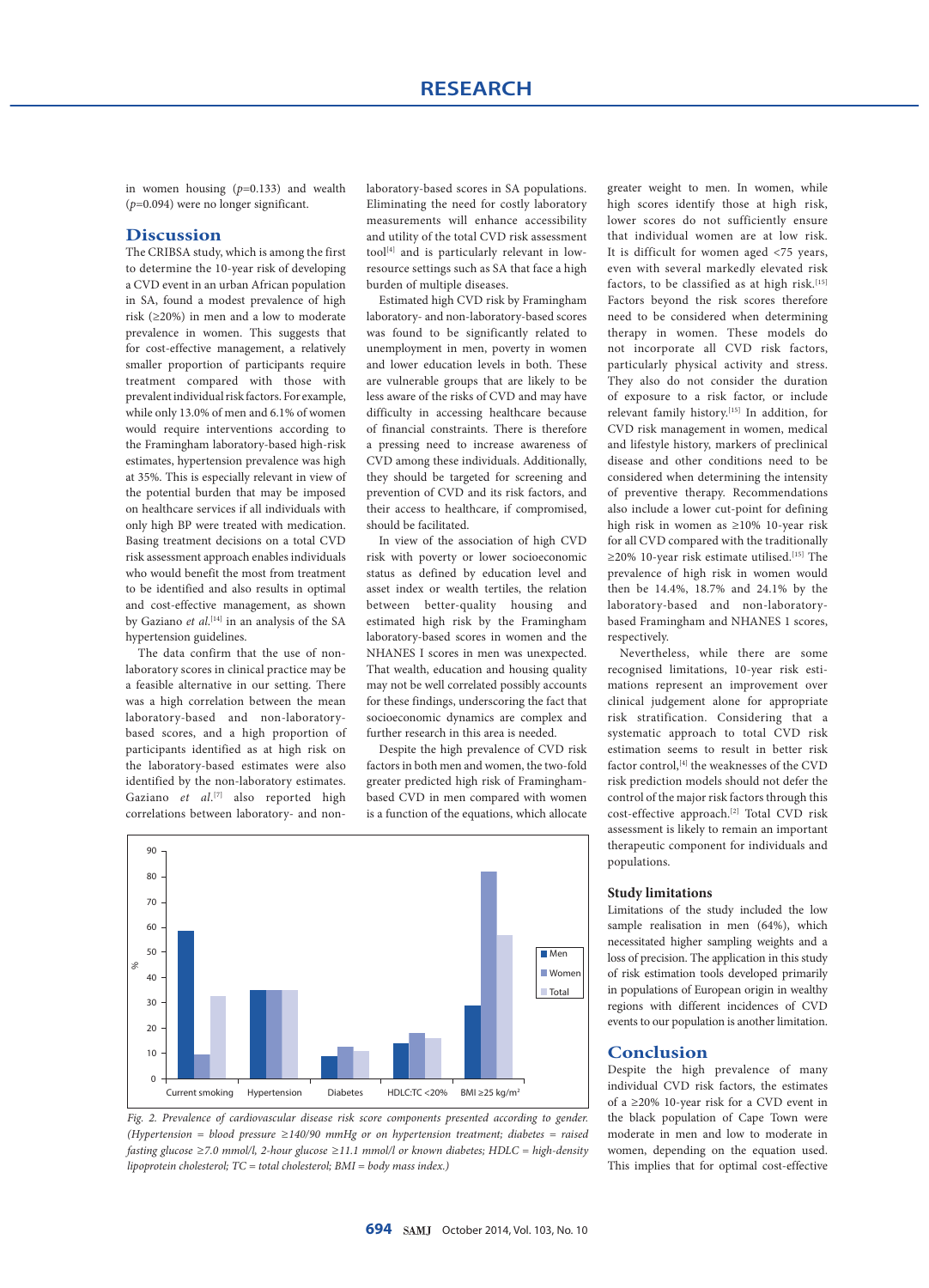in women housing (*p*=0.133) and wealth (*p*=0.094) were no longer significant.

## **Discussion**

The CRIBSA study, which is among the first to determine the 10-year risk of developing a CVD event in an urban African population in SA, found a modest prevalence of high risk (≥20%) in men and a low to moderate prevalence in women. This suggests that for cost-effective management, a relatively smaller proportion of participants require treatment compared with those with prevalent individual risk factors. For example, while only 13.0% of men and 6.1% of women would require interventions according to the Framingham laboratory-based high-risk estimates, hypertension prevalence was high at 35%. This is especially relevant in view of the potential burden that may be imposed on healthcare services if all individuals with only high BP were treated with medication. Basing treatment decisions on a total CVD risk assessment approach enables individuals who would benefit the most from treatment to be identified and also results in optimal and cost-effective management, as shown by Gaziano *et al*. [14] in an analysis of the SA hypertension guidelines.

The data confirm that the use of nonlaboratory scores in clinical practice may be a feasible alternative in our setting. There was a high correlation between the mean laboratory-based and non-laboratorybased scores, and a high proportion of participants identified as at high risk on the laboratory-based estimates were also identified by the non-laboratory estimates. Gaziano *et al*.<sup>[7]</sup> also reported high correlations between laboratory- and nonlaboratory-based scores in SA populations. Eliminating the need for costly laboratory measurements will enhance accessibility and utility of the total CVD risk assessment tool[4] and is particularly relevant in lowresource settings such as SA that face a high burden of multiple diseases.

Estimated high CVD risk by Framingham laboratory- and non-laboratory-based scores was found to be significantly related to unemployment in men, poverty in women and lower education levels in both. These are vulnerable groups that are likely to be less aware of the risks of CVD and may have difficulty in accessing healthcare because of financial constraints. There is therefore a pressing need to increase awareness of CVD among these individuals. Additionally, they should be targeted for screening and prevention of CVD and its risk factors, and their access to healthcare, if compromised, should be facilitated.

In view of the association of high CVD risk with poverty or lower socioeconomic status as defined by education level and asset index or wealth tertiles, the relation between better-quality housing and estimated high risk by the Framingham laboratory-based scores in women and the NHANES I scores in men was unexpected. That wealth, education and housing quality may not be well correlated possibly accounts for these findings, underscoring the fact that socioeconomic dynamics are complex and further research in this area is needed.

Despite the high prevalence of CVD risk factors in both men and women, the two-fold greater predicted high risk of Framinghambased CVD in men compared with women is a function of the equations, which allocate



*Fig. 2. Prevalence of cardiovascular disease risk score components presented according to gender. (Hypertension = blood pressure ≥140/90 mmHg or on hypertension treatment; diabetes = raised fasting glucose ≥7.0 mmol/l, 2-hour glucose ≥11.1 mmol/l or known diabetes; HDLC = high-density lipoprotein cholesterol; TC = total cholesterol; BMI = body mass index.)*

greater weight to men. In women, while high scores identify those at high risk, lower scores do not sufficiently ensure that individual women are at low risk. It is difficult for women aged <75 years, even with several markedly elevated risk factors, to be classified as at high risk.<sup>[15]</sup> Factors beyond the risk scores therefore need to be considered when determining therapy in women. These models do not incorporate all CVD risk factors, particularly physical activity and stress. They also do not consider the duration of exposure to a risk factor, or include relevant family history.[15] In addition, for CVD risk management in women, medical and lifestyle history, markers of preclinical disease and other conditions need to be considered when determining the intensity of preventive therapy. Recommendations also include a lower cut-point for defining high risk in women as ≥10% 10-year risk for all CVD compared with the traditionally ≥20% 10-year risk estimate utilised.[15] The prevalence of high risk in women would then be 14.4%, 18.7% and 24.1% by the laboratory-based and non-laboratorybased Framingham and NHANES 1 scores, respectively.

Nevertheless, while there are some recognised limitations, 10-year risk estimations represent an improvement over clinical judgement alone for appropriate risk stratification. Considering that a systematic approach to total CVD risk estimation seems to result in better risk factor control,<sup>[4]</sup> the weaknesses of the CVD risk prediction models should not defer the control of the major risk factors through this cost-effective approach.<sup>[2]</sup> Total CVD risk assessment is likely to remain an important therapeutic component for individuals and populations.

#### **Study limitations**

Limitations of the study included the low sample realisation in men (64%), which necessitated higher sampling weights and a loss of precision. The application in this study of risk estimation tools developed primarily in populations of European origin in wealthy regions with different incidences of CVD events to our population is another limitation.

#### **Conclusion**

Despite the high prevalence of many individual CVD risk factors, the estimates of a ≥20% 10-year risk for a CVD event in the black population of Cape Town were moderate in men and low to moderate in women, depending on the equation used. This implies that for optimal cost-effective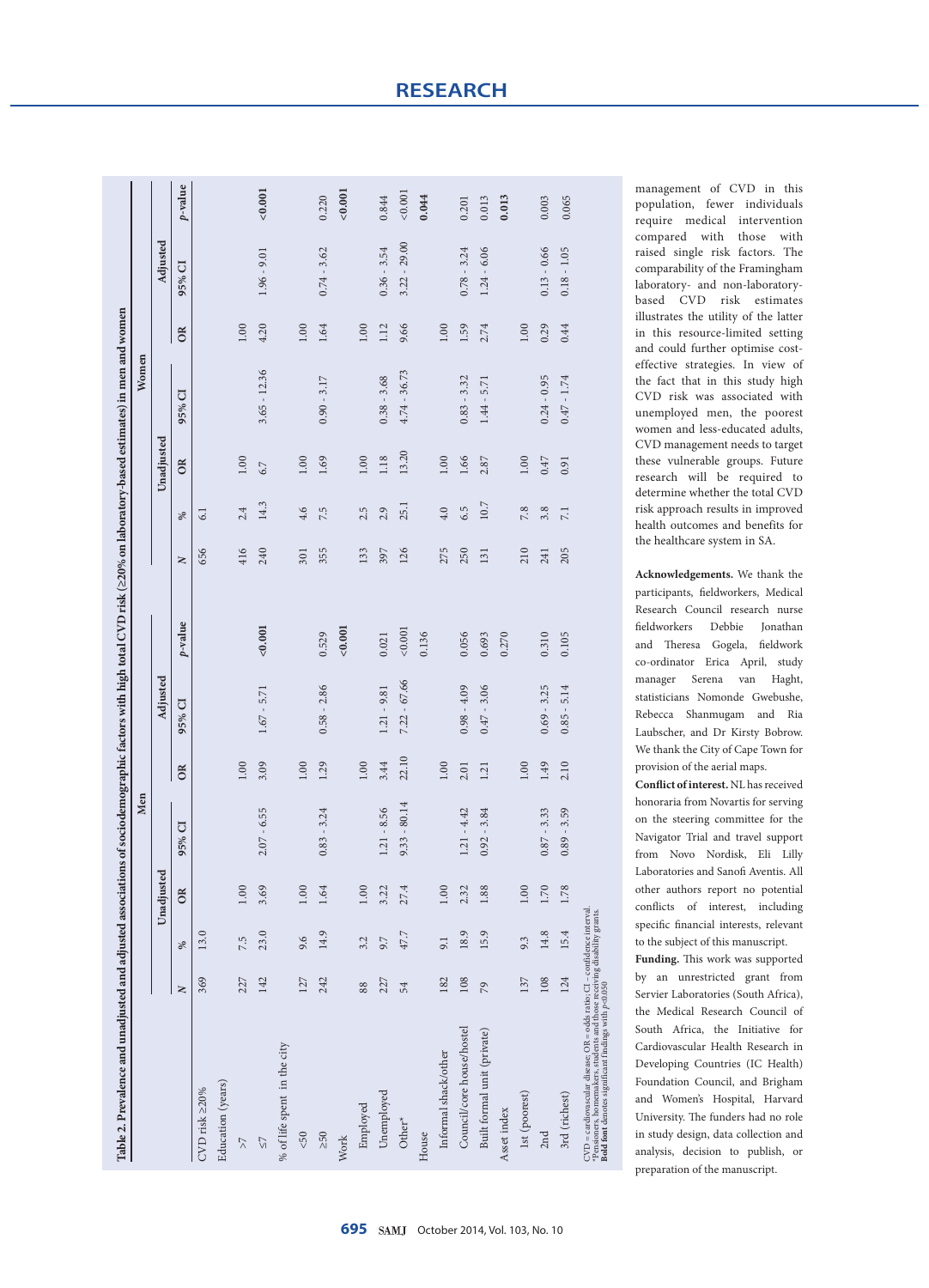|                                                                                                                                                                                                                            |     |      |            | Men                   |       |                |         |              |      |            | Women          |      |                |         |
|----------------------------------------------------------------------------------------------------------------------------------------------------------------------------------------------------------------------------|-----|------|------------|-----------------------|-------|----------------|---------|--------------|------|------------|----------------|------|----------------|---------|
|                                                                                                                                                                                                                            |     |      | Unadjusted |                       |       | Adjusted       |         |              |      | Unadjusted |                |      | Adjusted       |         |
|                                                                                                                                                                                                                            | z   | ℅    | OR         | $\overline{C}$<br>95% | OR    | 95% CI         | p-value | $\mathbf{N}$ | $\%$ | $\alpha$   | 95% CI         | OR   | 95% CI         | p-value |
| CVD risk ≥20%                                                                                                                                                                                                              | 369 | 13.0 |            |                       |       |                |         | 656          | 6.1  |            |                |      |                |         |
| Education (years)                                                                                                                                                                                                          |     |      |            |                       |       |                |         |              |      |            |                |      |                |         |
| $\lesssim$                                                                                                                                                                                                                 | 227 | 7.5  | 1.00       |                       | 1.00  |                |         | 416          | 2.4  | 1.00       |                | 1.00 |                |         |
| 75                                                                                                                                                                                                                         | 142 | 23.0 | 3.69       | 6.55<br>2.07          | 3.09  | $1.67 - 5.71$  | < 0.001 | 240          | 14.3 | 6.7        | $3.65 - 12.36$ | 4.20 | $1.96 - 9.01$  | < 0.001 |
| % of life spent in the city                                                                                                                                                                                                |     |      |            |                       |       |                |         |              |      |            |                |      |                |         |
| $< 50$                                                                                                                                                                                                                     | 127 | 9.6  | 1.00       |                       | 1.00  |                |         | 301          | 4.6  | 1.00       |                | 1.00 |                |         |
| $\geq 50$                                                                                                                                                                                                                  | 242 | 14.9 | 1.64       | 3.24<br>0.83          | 1.29  | $0.58 - 2.86$  | 0.529   | 355          | 7.5  | 1.69       | $0.90 - 3.17$  | 1.64 | $0.74 - 3.62$  | 0.220   |
| Work                                                                                                                                                                                                                       |     |      |            |                       |       |                | 0.001   |              |      |            |                |      |                | < 0.001 |
| Employed                                                                                                                                                                                                                   | 88  | 3.2  | 1.00       |                       | 1.00  |                |         | 133          | 2.5  | 1.00       |                | 1.00 |                |         |
| Unemployed                                                                                                                                                                                                                 | 227 | 9.7  | 3.22       | 8.56<br>1.21          | 3.44  | $1.21 - 9.81$  | 0.021   | 397          | 2.9  | 1.18       | $0.38 - 3.68$  | 1.12 | $0.36 - 3.54$  | 0.844   |
| Other*                                                                                                                                                                                                                     | 54  | 47.7 | 27.4       | $-80.14$<br>9.33      | 22.10 | $7.22 - 67.66$ | 0.001   | 126          | 25.1 | 13.20      | $4.74 - 36.73$ | 9.66 | $3.22 - 29.00$ | < 0.001 |
| House                                                                                                                                                                                                                      |     |      |            |                       |       |                | 0.136   |              |      |            |                |      |                | 0.044   |
| Informal shack/other                                                                                                                                                                                                       | 182 | 9.1  | 1.00       |                       | 1.00  |                |         | 275          | 4.0  | 1.00       |                | 1.00 |                |         |
| Council/core house/hostel                                                                                                                                                                                                  | 108 | 18.9 | 2.32       | 4.42<br>1.21          | 2.01  | $0.98 - 4.09$  | 0.056   | 250          | 6.5  | 1.66       | $0.83 - 3.32$  | 1.59 | $0.78 - 3.24$  | 0.201   |
| Built formal unit (private)                                                                                                                                                                                                | 79  | 15.9 | 1.88       | 3.84<br>0.92          | 1.21  | $0.47 - 3.06$  | 0.693   | 131          | 10.7 | 2.87       | $1.44 - 5.71$  | 2.74 | $1.24 - 6.06$  | 0.013   |
| Asset index                                                                                                                                                                                                                |     |      |            |                       |       |                | 0.270   |              |      |            |                |      |                | 0.013   |
| 1st (poorest)                                                                                                                                                                                                              | 137 | 9.3  | 0.01       |                       | 1.00  |                |         | 210          | 7.8  | 1.00       |                | 1.00 |                |         |
| 2nd                                                                                                                                                                                                                        | 108 | 14.8 | 1.70       | 3.33<br>0.87          | 1.49  | $0.69 - 3.25$  | 0.310   | 241          | 3.8  | 0.47       | $0.24 - 0.95$  | 0.29 | $0.13 - 0.66$  | 0.003   |
| 3rd (richest)                                                                                                                                                                                                              | 124 | 15.4 | 1.78       | 3.59<br>0.89          | 2.10  | $0.85 - 5.14$  | 0.105   | 205          | 7.1  | 0.91       | $0.47 - 1.74$  | 0.44 | $0.18 - 1.05$  | 0.065   |
| $CVD = cardiovascular disease; OR = odds ratio; CI - confidence interval.$<br>$*$ Pensioners, homemakers, students and those receiving disability grants.<br><b>Bold font</b> denotes significant findings with $p$ <0.050 |     |      |            |                       |       |                |         |              |      |            |                |      |                |         |

management of CVD in this population, fewer individuals require medical intervention compared with those with raised single risk factors. The comparability of the Framingham laboratory- and non-laboratorybased CVD risk estimates illustrates the utility of the latter in this resource-limited setting and could further optimise costeffective strategies. In view of the fact that in this study high CVD risk was associated with unemployed men, the poorest women and less-educated adults, CVD management needs to target these vulnerable groups. Future research will be required to determine whether the total CVD risk approach results in improved health outcomes and benefits for the healthcare system in SA.

**Acknowledgements.** We thank the participants, fieldworkers, Medical Research Council research nurse fieldworkers Debbie Jonathan and Theresa Gogela, fieldwork co-ordinator Erica April, study manager Serena van Haght, statisticians Nomonde Gwebushe, Rebecca Shanmugam and Ria Laubscher, and Dr Kirsty Bobrow. We thank the City of Cape Town for provision of the aerial maps.

**Conflict of interest.** NL has received honoraria from Novartis for serving on the steering committee for the Navigator Trial and travel support from Novo Nordisk, Eli Lilly Laboratories and Sanofi Aventis. All other authors report no potential conflicts of interest, including specific financial interests, relevant to the subject of this manuscript.

**Funding.** This work was supported by an unrestricted grant from Servier Laboratories (South Africa), the Medical Research Council of South Africa, the Initiative for Cardiovascular Health Research in Developing Countries (IC Health) Foundation Council, and Brigham and Women's Hospital, Harvard University. The funders had no role in study design, data collection and analysis, decision to publish, or preparation of the manuscript.